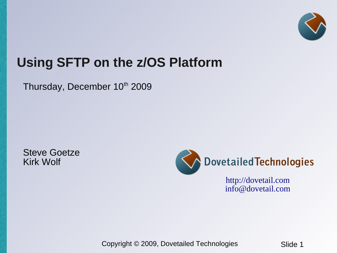

# **Using SFTP on the z/OS Platform**

Thursday, December 10th 2009

Steve Goetze Kirk Wolf



 [http://dovetail.com](http://dovetail.com/) [info@dovetail.com](mailto:info@dovetail.com)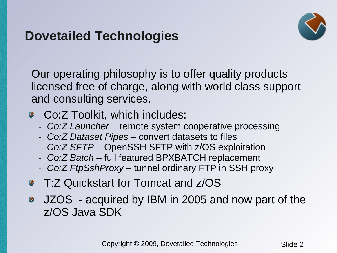## **Dovetailed Technologies**



Our operating philosophy is to offer quality products licensed free of charge, along with world class support and consulting services.

- Co:Z Toolkit, which includes:
	- *Co:Z Launcher* remote system cooperative processing
	- *Co:Z Dataset Pipes* convert datasets to files
	- *Co:Z SFTP* OpenSSH SFTP with z/OS exploitation
	- *Co:Z Batch* full featured BPXBATCH replacement
	- *Co:Z FtpSshProxy* tunnel ordinary FTP in SSH proxy
- T:Z Quickstart for Tomcat and z/OS
- **JZOS** acquired by IBM in 2005 and now part of the z/OS Java SDK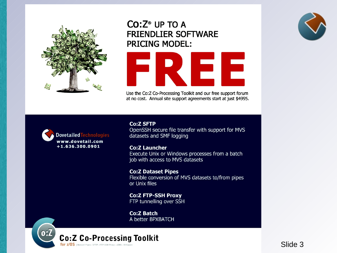

### $Co:Z^{\circ}$  UP TO A **FRIENDLIER SOFTWARE PRICING MODEL:**



Use the Co:Z Co-Processing Toolkit and our free support forum at no cost. Annual site support agreements start at just \$4995.



**Co:Z SFTP** OpenSSH secure file transfer with support for MVS datasets and SMF logging

**Co:Z Launcher** Execute Unix or Windows processes from a batch job with access to MVS datasets

**Co:Z Dataset Pipes** Flexible conversion of MVS datasets to/from pipes or Unix files

**Co:Z FTP-SSH Proxy** FTP tunnelling over SSH

**Co:Z Batch** A better BPXBATCH



 $\overline{\text{Silde 2}}$   $\overline{\text{Silde 3}}$ 

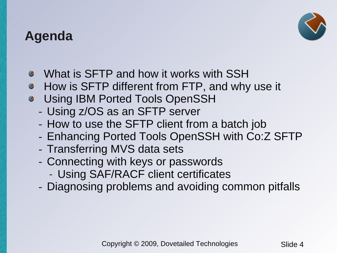### **Agenda**



- What is SFTP and how it works with SSH
- How is SFTP different from FTP, and why use it
- Using IBM Ported Tools OpenSSH
	- Using z/OS as an SFTP server
	- How to use the SFTP client from a batch job
	- Enhancing Ported Tools OpenSSH with Co:Z SFTP
	- Transferring MVS data sets
	- Connecting with keys or passwords
		- Using SAF/RACF client certificates
	- Diagnosing problems and avoiding common pitfalls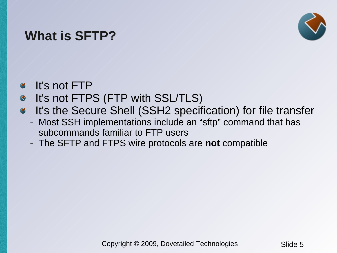## **What is SFTP?**



- It's not FTP  $\bullet$
- It's not FTPS (FTP with SSL/TLS)  $\bullet$
- It's the Secure Shell (SSH2 specification) for file transfer  $\bullet$ 
	- Most SSH implementations include an "sftp" command that has subcommands familiar to FTP users
	- The SFTP and FTPS wire protocols are **not** compatible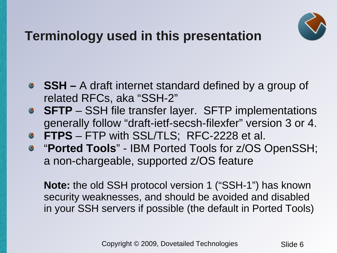

# **Terminology used in this presentation**

- **SSH –** A draft internet standard defined by a group of related RFCs, aka "SSH-2"
- **SFTP** SSH file transfer layer. SFTP implementations generally follow "draft-ietf-secsh-filexfer" version 3 or 4.
- **FTPS** FTP with SSL/TLS; RFC-2228 et al.
- "**Ported Tools**" IBM Ported Tools for z/OS OpenSSH; a non-chargeable, supported z/OS feature

**Note:** the old SSH protocol version 1 ("SSH-1") has known security weaknesses, and should be avoided and disabled in your SSH servers if possible (the default in Ported Tools)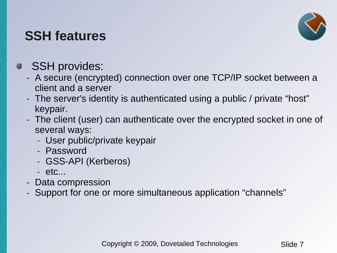## **SSH features**



### SSH provides:  $\bullet$

- A secure (encrypted) connection over one TCP/IP socket between a client and a server
- The server's identity is authenticated using a public / private "host" keypair.
- The client (user) can authenticate over the encrypted socket in one of several ways:
	- User public/private keypair
	- Password
	- GSS-API (Kerberos)
	- etc...
- Data compression
- Support for one or more simultaneous application "channels"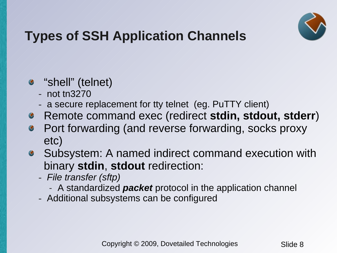

# **Types of SSH Application Channels**

- "shell" (telnet)
	- not tn3270
	- a secure replacement for tty telnet (eg. PuTTY client)
- Remote command exec (redirect **stdin, stdout, stderr**)
- Port forwarding (and reverse forwarding, socks proxy  $\bullet$ etc)
- Subsystem: A named indirect command execution with binary **stdin**, **stdout** redirection:
	- *File transfer (sftp)*
		- A standardized *packet* protocol in the application channel
	- Additional subsystems can be configured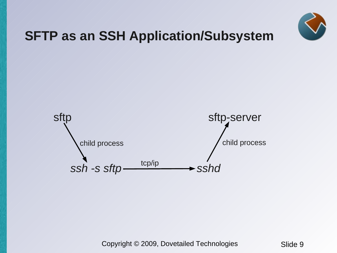

## **SFTP as an SSH Application/Subsystem**

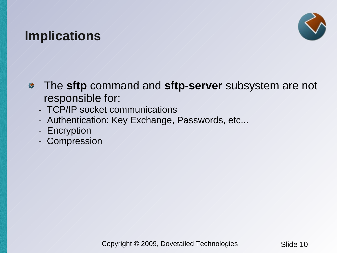## **Implications**



- The **sftp** command and **sftp-server** subsystem are not  $\bullet$ responsible for:
	- TCP/IP socket communications
	- Authentication: Key Exchange, Passwords, etc...
	- Encryption
	- Compression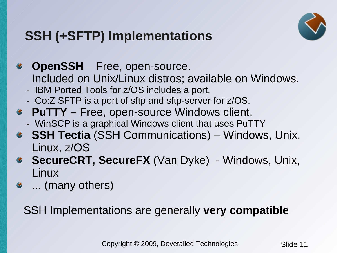

# **SSH (+SFTP) Implementations**

**OpenSSH** – Free, open-source.  $\bullet$ Included on Unix/Linux distros; available on Windows. - IBM Ported Tools for z/OS includes a port. - Co:Z SFTP is a port of sftp and sftp-server for z/OS. **PuTTY –** Free, open-source Windows client. - WinSCP is a graphical Windows client that uses PuTTY **SSH Tectia** (SSH Communications) – Windows, Unix,  $\bullet$ Linux, z/OS **SecureCRT, SecureFX** (Van Dyke) - Windows, Unix,  $\bullet$ Linux

... (many others)

SSH Implementations are generally **very compatible**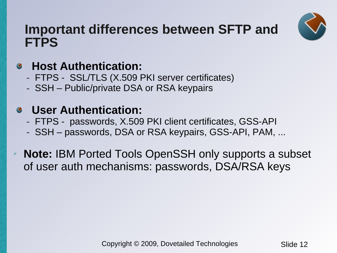

### **Important differences between SFTP and FTPS**

### **Host Authentication:**  $\bullet$

- FTPS SSL/TLS (X.509 PKI server certificates)
- SSH Public/private DSA or RSA keypairs

### **User Authentication:**  $\bullet$

- FTPS passwords, X.509 PKI client certificates, GSS-API
- SSH passwords, DSA or RSA keypairs, GSS-API, PAM, ...
- ➢ **Note:** IBM Ported Tools OpenSSH only supports a subset of user auth mechanisms: passwords, DSA/RSA keys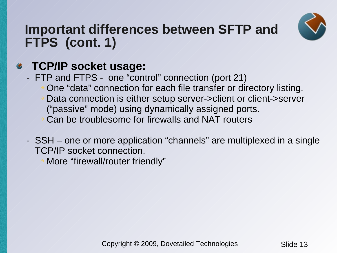

## **Important differences between SFTP and FTPS (cont. 1)**

### **TCP/IP socket usage:**  $\bullet$

- FTP and FTPS one "control" connection (port 21)
	- ➔ One "data" connection for each file transfer or directory listing.
	- ➔ Data connection is either setup server->client or client->server ("passive" mode) using dynamically assigned ports.
	- ➔ Can be troublesome for firewalls and NAT routers
- SSH one or more application "channels" are multiplexed in a single TCP/IP socket connection.
	- More "firewall/router friendly"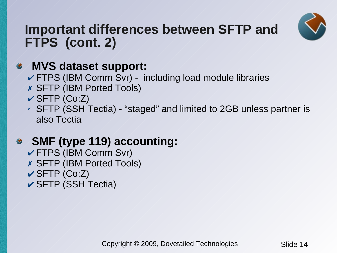

## **Important differences between SFTP and FTPS (cont. 2)**

### **MVS dataset support:**  $\bullet$

- ✔ FTPS (IBM Comm Svr) including load module libraries
- ✗ SFTP (IBM Ported Tools)
- $\checkmark$  SFTP (Co:Z)
- $\overline{V}$  SFTP (SSH Tectia) "staged" and limited to 2GB unless partner is also Tectia

### **SMF (type 119) accounting:**  $\bullet$

- ✔ FTPS (IBM Comm Svr)
- ✗ SFTP (IBM Ported Tools)
- $\checkmark$  SFTP (Co:Z)
- ✔ SFTP (SSH Tectia)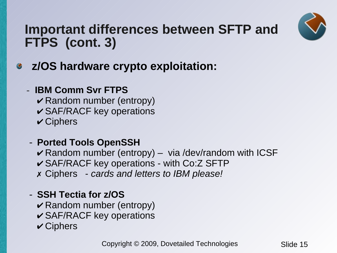

## **Important differences between SFTP and FTPS (cont. 3)**

- **z/OS hardware crypto exploitation:**  $\bullet$ 
	- **IBM Comm Svr FTPS**
		- $\vee$  Random number (entropy)
		- $\checkmark$  SAF/RACF key operations
		- $\checkmark$  Ciphers
	- **Ported Tools OpenSSH**
		- $\vee$  Random number (entropy) via /dev/random with ICSF
		- $\checkmark$  SAF/RACF key operations with Co:Z SFTP
		- ✗ Ciphers *cards and letters to IBM please!*
	- **SSH Tectia for z/OS**
		- $\vee$  Random number (entropy)
		- $\checkmark$  SAF/RACF key operations
		- $\checkmark$  Ciphers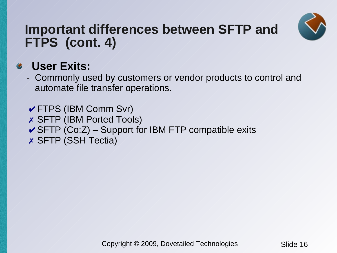

## **Important differences between SFTP and FTPS (cont. 4)**

### **User Exits:**  $\bullet$

- Commonly used by customers or vendor products to control and automate file transfer operations.

 $\checkmark$  FTPS (IBM Comm Svr) ✗ SFTP (IBM Ported Tools)  $\checkmark$  SFTP (Co:Z) – Support for IBM FTP compatible exits ✗ SFTP (SSH Tectia)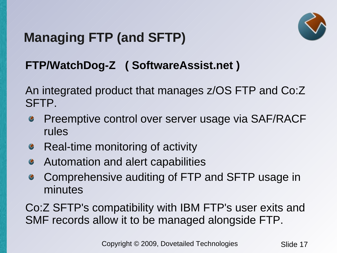# **Managing FTP (and SFTP)**

## **FTP/WatchDog-Z ( SoftwareAssist.net )**

An integrated product that manages z/OS FTP and Co:Z SFTP.

- Preemptive control over server usage via SAF/RACF  $\bullet$ rules
- Real-time monitoring of activity  $\bullet$
- Automation and alert capabilities  $\bullet$
- Comprehensive auditing of FTP and SFTP usage in  $\bullet$ minutes

Co:Z SFTP's compatibility with IBM FTP's user exits and SMF records allow it to be managed alongside FTP.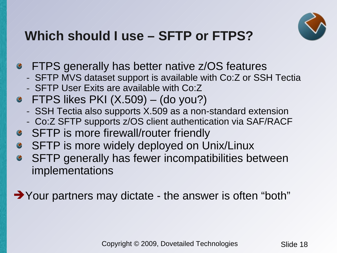

# **Which should I use – SFTP or FTPS?**

- **•** FTPS generally has better native z/OS features
	- SFTP MVS dataset support is available with Co:Z or SSH Tectia
	- SFTP User Exits are available with Co:Z
- $\bullet$  FTPS likes PKI (X.509) (do you?)
	- SSH Tectia also supports X.509 as a non-standard extension
	- Co:Z SFTP supports z/OS client authentication via SAF/RACF
- **SFTP** is more firewall/router friendly  $\bullet$
- SFTP is more widely deployed on Unix/Linux  $\bullet$
- SFTP generally has fewer incompatibilities between  $\bullet$ implementations

➔Your partners may dictate - the answer is often "both"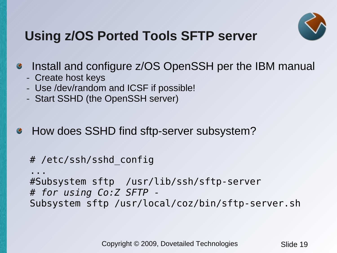

# **Using z/OS Ported Tools SFTP server**

### Install and configure z/OS OpenSSH per the IBM manual  $\bullet$

- Create host keys
- Use /dev/random and ICSF if possible!
- Start SSHD (the OpenSSH server)

### How does SSHD find sftp-server subsystem?  $\bullet$

```
# /etc/ssh/sshd_config
```
... #Subsystem sftp /usr/lib/ssh/sftp-server *# for using Co:Z SFTP -* Subsystem sftp /usr/local/coz/bin/sftp-server.sh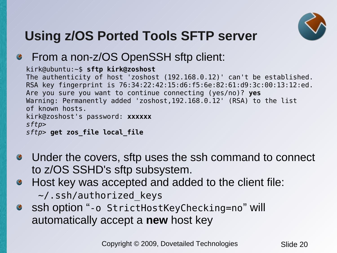

# **Using z/OS Ported Tools SFTP server**

### From a non-z/OS OpenSSH sftp client:

kirk@ubuntu:~\$ **sftp kirk@zoshost**

The authenticity of host 'zoshost (192.168.0.12)' can't be established. RSA key fingerprint is 76:34:22:42:15:d6:f5:6e:82:61:d9:3c:00:13:12:ed. Are you sure you want to continue connecting (yes/no)? **yes** Warning: Permanently added 'zoshost,192.168.0.12' (RSA) to the list of known hosts. kirk@zoshost's password: **xxxxxx** *sftp> sftp>* **get zos\_file local\_file**

- Under the covers, sftp uses the ssh command to connect  $\bullet$ to z/OS SSHD's sftp subsystem.
- Host key was accepted and added to the client file:  $\bullet$ 
	- ~/.ssh/authorized\_keys
- ssh option "-o StrictHostKeyChecking=no" will  $\bullet$ automatically accept a **new** host key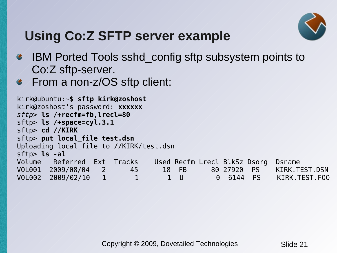

# **Using Co:Z SFTP server example**

- IBM Ported Tools sshd\_config sftp subsystem points to  $\bullet$ Co:Z sftp-server.
- From a non-z/OS sftp client:  $\bullet$

```
kirk@ubuntu:~$ sftp kirk@zoshost
kirk@zoshost's password: xxxxxx
sftp> ls /+recfm=fb,lrecl=80
sftp> ls /+space=cyl.3.1
sftp> cd //KIRK
sftp> put local_file test.dsn
Uploading local_file to //KIRK/test.dsn
sftp> ls -al
Volume Referred Ext Tracks Used Recfm Lrecl BlkSz Dsorg Dsname
VOL001 2009/08/04 2 45 18 FB 80 27920 PS KIRK.TEST.DSN
VOL002 2009/02/10 1 1 1 1 U 0 6144 PS KIRK.TEST.FOO
```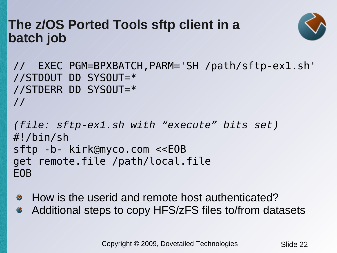### **The z/OS Ported Tools sftp client in a batch job**



// EXEC PGM=BPXBATCH,PARM='SH /path/sftp-ex1.sh' //STDOUT DD SYSOUT=\* //STDERR DD SYSOUT=\* //

```
(file: sftp-ex1.sh with "execute" bits set)
#!/bin/sh
sftp -b- kirk@myco.com <<EOB
get remote.file /path/local.file
EOB
```
- How is the userid and remote host authenticated?  $\bullet$
- Additional steps to copy HFS/zFS files to/from datasets $\bullet$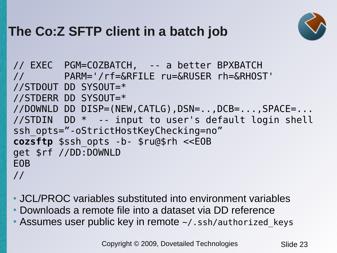# **The Co:Z SFTP client in a batch job**



```
// EXEC PGM=COZBATCH, -- a better BPXBATCH
// PARM='/rf=&RFILE ru=&RUSER rh=&RHOST' 
//STDOUT DD SYSOUT=*
//STDERR DD SYSOUT=*
//DOWNLD DD DISP=(NEW,CATLG),DSN=..,DCB=...,SPACE=...
//STDIN DD * -- input to user's default login shell
ssh opts="-oStrictHostKeyChecking=no"
cozsftp $ssh_opts -b- $ru@$rh <<EOB
get $rf //DD:DOWNLD
EOB
//
```
- JCL/PROC variables substituted into environment variables
- Downloads a remote file into a dataset via DD reference
- Assumes user public key in remote  $\sim$  / . ssh/authorized keys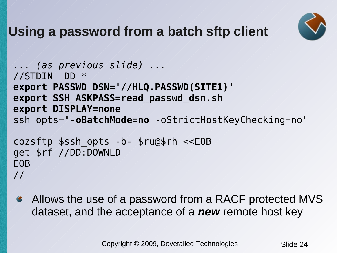

# **Using a password from a batch sftp client**

```
... (as previous slide) ...
//STDIN DD * 
export PASSWD_DSN='//HLQ.PASSWD(SITE1)' 
export SSH_ASKPASS=read_passwd_dsn.sh 
export DISPLAY=none
ssh opts="-oBatchMode=no -oStrictHostKeyChecking=no"
cozsftp $ssh_opts -b- $ru@$rh <<EOB
get $rf //DD:DOWNLD
EOB
//
```
Allows the use of a password from a RACF protected MVS  $\bullet$ dataset, and the acceptance of a *new* remote host key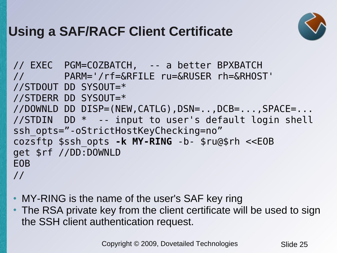# **Using a SAF/RACF Client Certificate**



```
// EXEC PGM=COZBATCH, -- a better BPXBATCH
// PARM='/rf=&RFILE ru=&RUSER rh=&RHOST' 
//STDOUT DD SYSOUT=*
//STDERR DD SYSOUT=*
//DOWNLD DD DISP=(NEW,CATLG),DSN=..,DCB=...,SPACE=...
//STDIN DD * -- input to user's default login shell
ssh opts="-oStrictHostKeyChecking=no"
cozsftp $ssh_opts -k MY-RING -b- $ru@$rh <<EOB
get $rf //DD:DOWNLD
EOB
//
```
- MY-RING is the name of the user's SAF key ring
- The RSA private key from the client certificate will be used to sign the SSH client authentication request.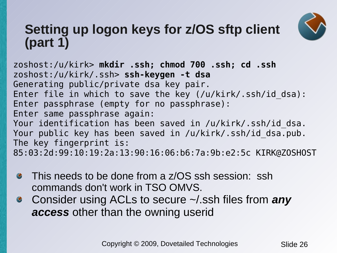# **Setting up logon keys for z/OS sftp client (part 1)**



zoshost:/u/kirk> **mkdir .ssh; chmod 700 .ssh; cd .ssh** zoshost:/u/kirk/.ssh> **ssh-keygen -t dsa** Generating public/private dsa key pair. Enter file in which to save the key (/u/kirk/.ssh/id dsa): Enter passphrase (empty for no passphrase): Enter same passphrase again: Your identification has been saved in /u/kirk/.ssh/id dsa. Your public key has been saved in /u/kirk/.ssh/id\_dsa.pub. The key fingerprint is: 85:03:2d:99:10:19:2a:13:90:16:06:b6:7a:9b:e2:5c KIRK@ZOSHOST

- This needs to be done from a z/OS ssh session: ssh  $\bullet$ commands don't work in TSO OMVS.
- Consider using ACLs to secure ~/.ssh files from *any*   $\bullet$ *access* other than the owning userid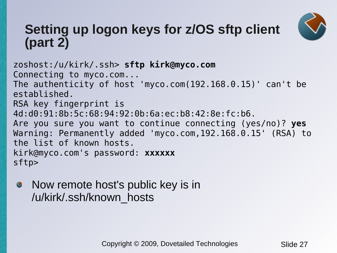

## **Setting up logon keys for z/OS sftp client (part 2)**

zoshost:/u/kirk/.ssh> **sftp kirk@myco.com** Connecting to myco.com... The authenticity of host 'myco.com(192.168.0.15)' can't be established. RSA key fingerprint is 4d:d0:91:8b:5c:68:94:92:0b:6a:ec:b8:42:8e:fc:b6. Are you sure you want to continue connecting (yes/no)? **yes** Warning: Permanently added 'myco.com,192.168.0.15' (RSA) to the list of known hosts. kirk@myco.com's password: **xxxxxx** sftp>

Now remote host's public key is in  $\bullet$ /u/kirk/.ssh/known\_hosts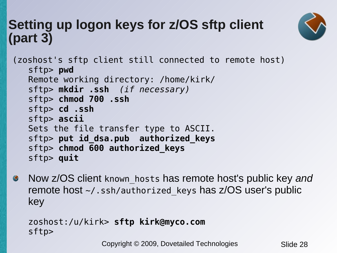# **Setting up logon keys for z/OS sftp client (part 3)**



```
(zoshost's sftp client still connected to remote host)
   sftp> pwd
   Remote working directory: /home/kirk/ 
   sftp> mkdir .ssh (if necessary)
   sftp> chmod 700 .ssh
   sftp> cd .ssh
   sftp> ascii
  Sets the file transfer type to ASCII.
   sftp> put id_dsa.pub authorized_keys
   sftp> chmod 600 authorized_keys
   sftp> quit
```
Now z/OS client known\_hosts has remote host's public key *and*  $\bullet$ remote host  $\sim$ /.ssh/authorized keys has z/OS user's public key

```
zoshost:/u/kirk> sftp kirk@myco.com 
sftp>
```
Copyright © 2009, Dovetailed Technologies Slide 28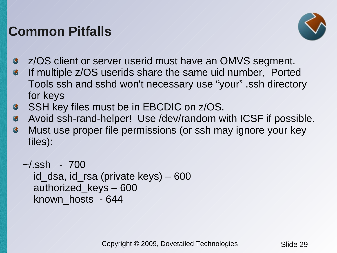## **Common Pitfalls**



- z/OS client or server userid must have an OMVS segment.
- If multiple z/OS userids share the same uid number, Ported  $\bullet$ Tools ssh and sshd won't necessary use "your" .ssh directory for keys
- SSH key files must be in EBCDIC on z/OS.  $\bullet$
- Avoid ssh-rand-helper! Use /dev/random with ICSF if possible.  $\bullet$
- Must use proper file permissions (or ssh may ignore your key  $\bullet$ files):

```
\sim/.ssh - 700
  id dsa, id rsa (private keys) – 600authorized_keys – 600
  known_hosts - 644
```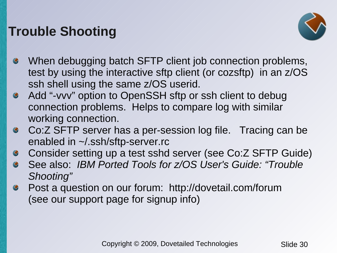# **Trouble Shooting**



- When debugging batch SFTP client job connection problems, test by using the interactive sftp client (or cozsftp) in an z/OS ssh shell using the same z/OS userid.
- Add "-vvv" option to OpenSSH sftp or ssh client to debug  $\bullet$ connection problems. Helps to compare log with similar working connection.
- Co:Z SFTP server has a per-session log file. Tracing can be  $\bullet$ enabled in ~/.ssh/sftp-server.rc
- Consider setting up a test sshd server (see Co:Z SFTP Guide)  $\bullet$
- See also: *IBM Ported Tools for z/OS User's Guide: "Trouble*   $\bullet$ *Shooting"*
- Post a question on our forum: http://dovetail.com/forum  $\bullet$ (see our support page for signup info)